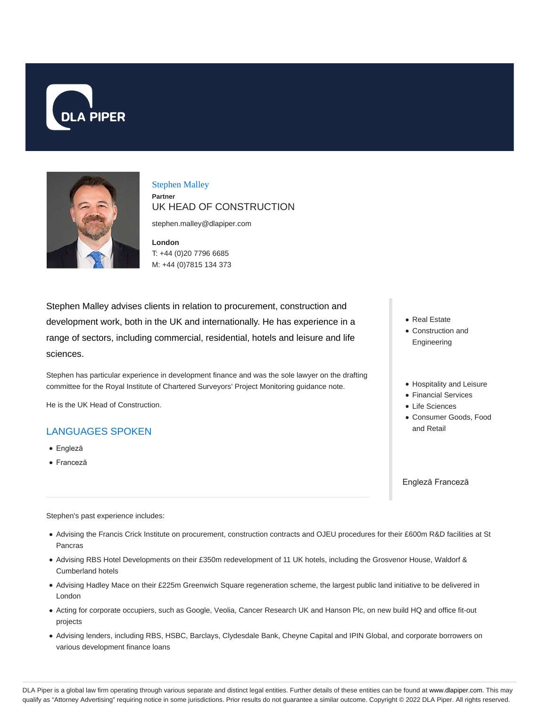



## Stephen Malley **Partner** UK HEAD OF CONSTRUCTION

stephen.malley@dlapiper.com

**London** T: +44 (0)20 7796 6685 M: +44 (0)7815 134 373

Stephen Malley advises clients in relation to procurement, construction and development work, both in the UK and internationally. He has experience in a range of sectors, including commercial, residential, hotels and leisure and life sciences.

Stephen has particular experience in development finance and was the sole lawyer on the drafting committee for the Royal Institute of Chartered Surveyors' Project Monitoring guidance note.

He is the UK Head of Construction.

## LANGUAGES SPOKEN

- Engleză
- Franceză
- Real Estate
- Construction and Engineering
- Hospitality and Leisure
- Financial Services
- Life Sciences
- Consumer Goods, Food and Retail

Engleză Franceză

Stephen's past experience includes:

- Advising the Francis Crick Institute on procurement, construction contracts and OJEU procedures for their £600m R&D facilities at St Pancras
- Advising RBS Hotel Developments on their £350m redevelopment of 11 UK hotels, including the Grosvenor House, Waldorf & Cumberland hotels
- Advising Hadley Mace on their £225m Greenwich Square regeneration scheme, the largest public land initiative to be delivered in London
- Acting for corporate occupiers, such as Google, Veolia, Cancer Research UK and Hanson Plc, on new build HQ and office fit-out projects
- Advising lenders, including RBS, HSBC, Barclays, Clydesdale Bank, Cheyne Capital and IPIN Global, and corporate borrowers on various development finance loans

DLA Piper is a global law firm operating through various separate and distinct legal entities. Further details of these entities can be found at www.dlapiper.com. This may qualify as "Attorney Advertising" requiring notice in some jurisdictions. Prior results do not guarantee a similar outcome. Copyright © 2022 DLA Piper. All rights reserved.